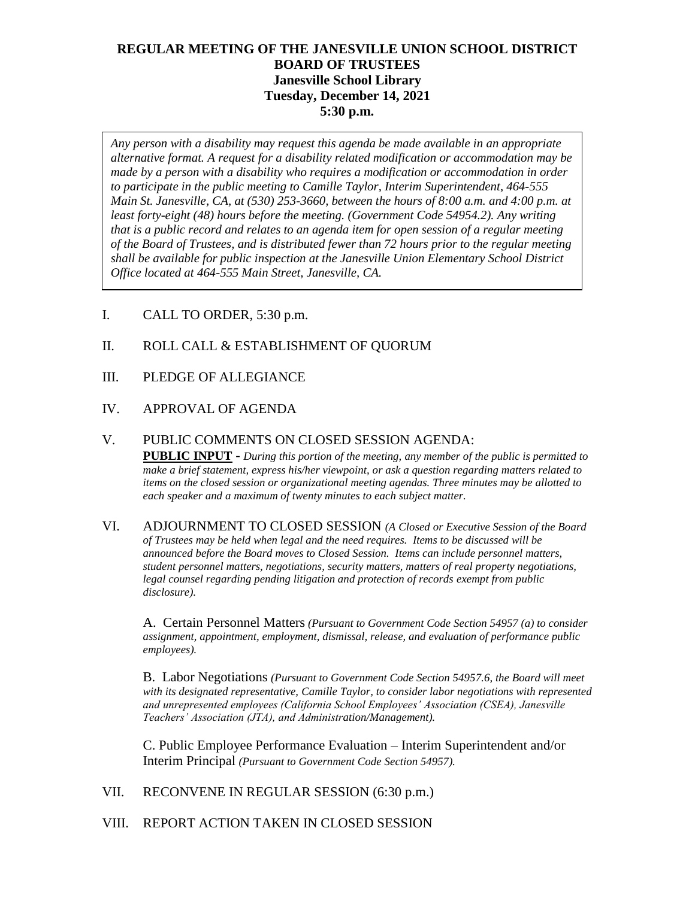# **REGULAR MEETING OF THE JANESVILLE UNION SCHOOL DISTRICT BOARD OF TRUSTEES Janesville School Library Tuesday, December 14, 2021 5:30 p.m.**

*Any person with a disability may request this agenda be made available in an appropriate alternative format. A request for a disability related modification or accommodation may be made by a person with a disability who requires a modification or accommodation in order to participate in the public meeting to Camille Taylor, Interim Superintendent, 464-555 Main St. Janesville, CA, at (530) 253-3660, between the hours of 8:00 a.m. and 4:00 p.m. at least forty-eight (48) hours before the meeting. (Government Code 54954.2). Any writing that is a public record and relates to an agenda item for open session of a regular meeting of the Board of Trustees, and is distributed fewer than 72 hours prior to the regular meeting shall be available for public inspection at the Janesville Union Elementary School District Office located at 464-555 Main Street, Janesville, CA.* 

- I. CALL TO ORDER, 5:30 p.m.
- II. ROLL CALL & ESTABLISHMENT OF QUORUM
- III. PLEDGE OF ALLEGIANCE
- IV. APPROVAL OF AGENDA
- V. PUBLIC COMMENTS ON CLOSED SESSION AGENDA: **PUBLIC INPUT** - *During this portion of the meeting, any member of the public is permitted to make a brief statement, express his/her viewpoint, or ask a question regarding matters related to items on the closed session or organizational meeting agendas. Three minutes may be allotted to each speaker and a maximum of twenty minutes to each subject matter.*
- VI. ADJOURNMENT TO CLOSED SESSION *(A Closed or Executive Session of the Board of Trustees may be held when legal and the need requires. Items to be discussed will be announced before the Board moves to Closed Session. Items can include personnel matters, student personnel matters, negotiations, security matters, matters of real property negotiations, legal counsel regarding pending litigation and protection of records exempt from public disclosure).*

A. Certain Personnel Matters *(Pursuant to Government Code Section 54957 (a) to consider assignment, appointment, employment, dismissal, release, and evaluation of performance public employees).*

B. Labor Negotiations *(Pursuant to Government Code Section 54957.6, the Board will meet with its designated representative, Camille Taylor, to consider labor negotiations with represented and unrepresented employees (California School Employees' Association (CSEA), Janesville Teachers' Association (JTA), and Administration/Management).*

C. Public Employee Performance Evaluation – Interim Superintendent and/or Interim Principal *(Pursuant to Government Code Section 54957).*

VII. RECONVENE IN REGULAR SESSION (6:30 p.m.)

VIII. REPORT ACTION TAKEN IN CLOSED SESSION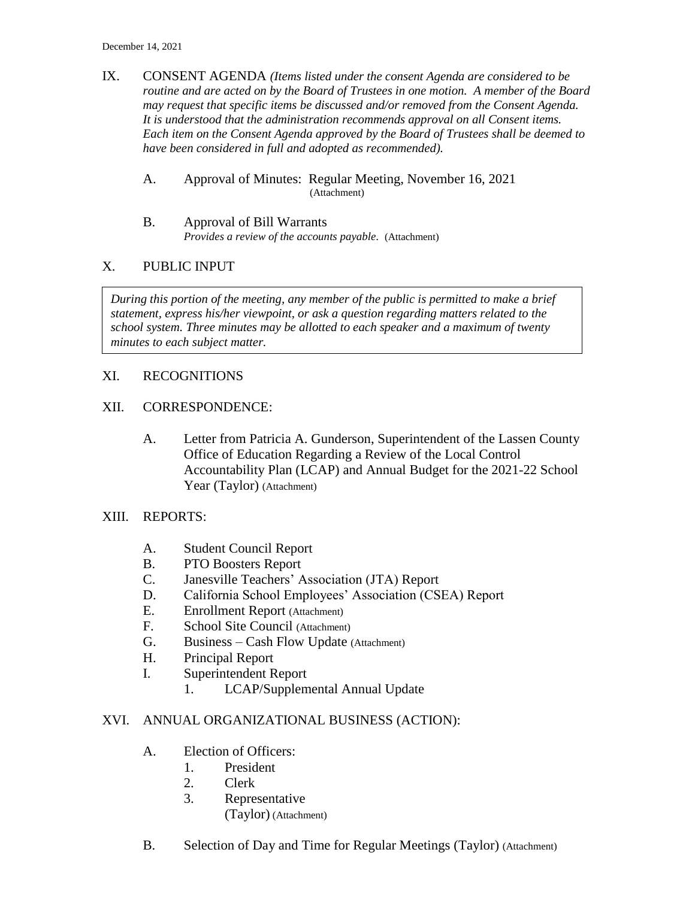IX. CONSENT AGENDA *(Items listed under the consent Agenda are considered to be routine and are acted on by the Board of Trustees in one motion. A member of the Board may request that specific items be discussed and/or removed from the Consent Agenda. It is understood that the administration recommends approval on all Consent items. Each item on the Consent Agenda approved by the Board of Trustees shall be deemed to have been considered in full and adopted as recommended).*

#### A. Approval of Minutes: Regular Meeting, November 16, 2021 (Attachment)

B. Approval of Bill Warrants *Provides a review of the accounts payable.* (Attachment)

### X. PUBLIC INPUT

*During this portion of the meeting, any member of the public is permitted to make a brief statement, express his/her viewpoint, or ask a question regarding matters related to the school system. Three minutes may be allotted to each speaker and a maximum of twenty minutes to each subject matter.*

# XI. RECOGNITIONS

### XII. CORRESPONDENCE:

A. Letter from Patricia A. Gunderson, Superintendent of the Lassen County Office of Education Regarding a Review of the Local Control Accountability Plan (LCAP) and Annual Budget for the 2021-22 School Year (Taylor) (Attachment)

### XIII. REPORTS:

- A. Student Council Report
- B. PTO Boosters Report
- C. Janesville Teachers' Association (JTA) Report
- D. California School Employees' Association (CSEA) Report
- E. Enrollment Report (Attachment)
- F. School Site Council (Attachment)
- G. Business Cash Flow Update (Attachment)
- H. Principal Report
- I. Superintendent Report
	- 1. LCAP/Supplemental Annual Update

### XVI. ANNUAL ORGANIZATIONAL BUSINESS (ACTION):

- A. Election of Officers:
	- 1. President
	- 2. Clerk
	- 3. Representative
		- (Taylor) (Attachment)
- B. Selection of Day and Time for Regular Meetings (Taylor) (Attachment)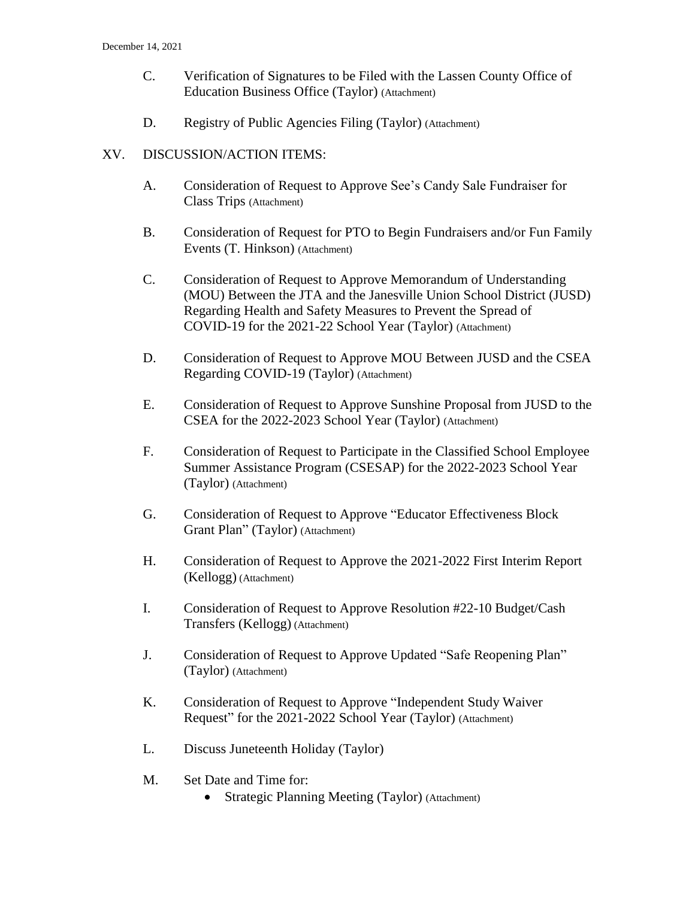- C. Verification of Signatures to be Filed with the Lassen County Office of Education Business Office (Taylor) (Attachment)
- D. Registry of Public Agencies Filing (Taylor) (Attachment)

## XV. DISCUSSION/ACTION ITEMS:

- A. Consideration of Request to Approve See's Candy Sale Fundraiser for Class Trips (Attachment)
- B. Consideration of Request for PTO to Begin Fundraisers and/or Fun Family Events (T. Hinkson) (Attachment)
- C. Consideration of Request to Approve Memorandum of Understanding (MOU) Between the JTA and the Janesville Union School District (JUSD) Regarding Health and Safety Measures to Prevent the Spread of COVID-19 for the 2021-22 School Year (Taylor) (Attachment)
- D. Consideration of Request to Approve MOU Between JUSD and the CSEA Regarding COVID-19 (Taylor) (Attachment)
- E. Consideration of Request to Approve Sunshine Proposal from JUSD to the CSEA for the 2022-2023 School Year (Taylor) (Attachment)
- F. Consideration of Request to Participate in the Classified School Employee Summer Assistance Program (CSESAP) for the 2022-2023 School Year (Taylor) (Attachment)
- G. Consideration of Request to Approve "Educator Effectiveness Block Grant Plan" (Taylor) (Attachment)
- H. Consideration of Request to Approve the 2021-2022 First Interim Report (Kellogg) (Attachment)
- I. Consideration of Request to Approve Resolution #22-10 Budget/Cash Transfers (Kellogg) (Attachment)
- J. Consideration of Request to Approve Updated "Safe Reopening Plan" (Taylor) (Attachment)
- K. Consideration of Request to Approve "Independent Study Waiver Request" for the 2021-2022 School Year (Taylor) (Attachment)
- L. Discuss Juneteenth Holiday (Taylor)
- M. Set Date and Time for:
	- Strategic Planning Meeting (Taylor) (Attachment)